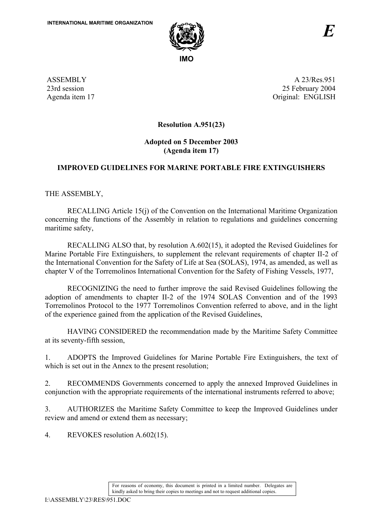

ASSEMBLY 23rd session Agenda item 17

A 23/Res.951 25 February 2004 Original: ENGLISH

**Resolution A.951(23)** 

## **Adopted on 5 December 2003 (Agenda item 17)**

## **IMPROVED GUIDELINES FOR MARINE PORTABLE FIRE EXTINGUISHERS**

THE ASSEMBLY,

RECALLING Article 15(j) of the Convention on the International Maritime Organization concerning the functions of the Assembly in relation to regulations and guidelines concerning maritime safety,

RECALLING ALSO that, by resolution A.602(15), it adopted the Revised Guidelines for Marine Portable Fire Extinguishers, to supplement the relevant requirements of chapter II-2 of the International Convention for the Safety of Life at Sea (SOLAS), 1974, as amended, as well as chapter V of the Torremolinos International Convention for the Safety of Fishing Vessels, 1977,

RECOGNIZING the need to further improve the said Revised Guidelines following the adoption of amendments to chapter II-2 of the 1974 SOLAS Convention and of the 1993 Torremolinos Protocol to the 1977 Torremolinos Convention referred to above, and in the light of the experience gained from the application of the Revised Guidelines,

HAVING CONSIDERED the recommendation made by the Maritime Safety Committee at its seventy-fifth session,

1. ADOPTS the Improved Guidelines for Marine Portable Fire Extinguishers, the text of which is set out in the Annex to the present resolution;

2. RECOMMENDS Governments concerned to apply the annexed Improved Guidelines in conjunction with the appropriate requirements of the international instruments referred to above;

3. AUTHORIZES the Maritime Safety Committee to keep the Improved Guidelines under review and amend or extend them as necessary;

4. REVOKES resolution A.602(15).

For reasons of economy, this document is printed in a limited number. Delegates are kindly asked to bring their copies to meetings and not to request additional copies.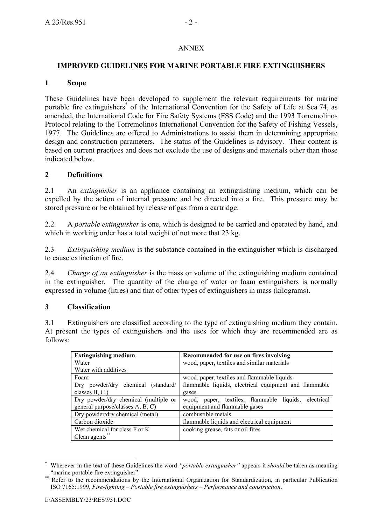#### ANNEX

#### **IMPROVED GUIDELINES FOR MARINE PORTABLE FIRE EXTINGUISHERS**

#### **1 Scope**

These Guidelines have been developed to supplement the relevant requirements for marine portable fire extinguishers<sup>\*</sup> of the International Convention for the Safety of Life at Sea 74, as amended, the International Code for Fire Safety Systems (FSS Code) and the 1993 Torremolinos Protocol relating to the Torremolinos International Convention for the Safety of Fishing Vessels, 1977. The Guidelines are offered to Administrations to assist them in determining appropriate design and construction parameters. The status of the Guidelines is advisory. Their content is based on current practices and does not exclude the use of designs and materials other than those indicated below.

#### **2 Definitions**

2.1 An *extinguisher* is an appliance containing an extinguishing medium, which can be expelled by the action of internal pressure and be directed into a fire. This pressure may be stored pressure or be obtained by release of gas from a cartridge.

2.2 A *portable extinguisher* is one, which is designed to be carried and operated by hand, and which in working order has a total weight of not more that 23 kg.

2.3 *Extinguishing medium* is the substance contained in the extinguisher which is discharged to cause extinction of fire.

2.4 *Charge of an extinguisher* is the mass or volume of the extinguishing medium contained in the extinguisher. The quantity of the charge of water or foam extinguishers is normally expressed in volume (litres) and that of other types of extinguishers in mass (kilograms).

#### **3 Classification**

3.1 Extinguishers are classified according to the type of extinguishing medium they contain. At present the types of extinguishers and the uses for which they are recommended are as follows:

| <b>Extinguishing medium</b>           | Recommended for use on fires involving                |  |  |  |
|---------------------------------------|-------------------------------------------------------|--|--|--|
| Water                                 | wood, paper, textiles and similar materials           |  |  |  |
| Water with additives                  |                                                       |  |  |  |
| Foam                                  | wood, paper, textiles and flammable liquids           |  |  |  |
| Dry powder/dry chemical (standard/    | flammable liquids, electrical equipment and flammable |  |  |  |
| classes $B, C$ )                      | gases                                                 |  |  |  |
| Dry powder/dry chemical (multiple or  | wood, paper, textiles, flammable liquids, electrical  |  |  |  |
| general purpose/classes A, B, C)      | equipment and flammable gases                         |  |  |  |
| Dry powder/dry chemical (metal)       | combustible metals                                    |  |  |  |
| Carbon dioxide                        | flammable liquids and electrical equipment            |  |  |  |
| Wet chemical for class F or K         | cooking grease, fats or oil fires                     |  |  |  |
| Clean agents $\overline{\phantom{a}}$ |                                                       |  |  |  |

 $\overline{a}$ \* Wherever in the text of these Guidelines the word *''portable extinguisher''* appears it *should* be taken as meaning ''marine portable fire extinguisher''.

Refer to the recommendations by the International Organization for Standardization, in particular Publication ISO 7165:1999, *Fire-fighting – Portable fire extinguishers – Performance and construction*.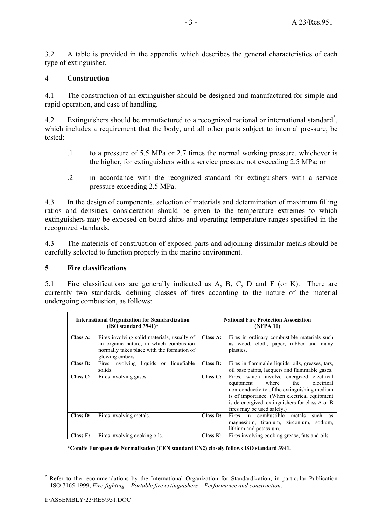3.2 A table is provided in the appendix which describes the general characteristics of each type of extinguisher.

#### **4 Construction**

4.1 The construction of an extinguisher should be designed and manufactured for simple and rapid operation, and ease of handling.

4.2 Extinguishers should be manufactured to a recognized national or international standard<sup>\*</sup>, which includes a requirement that the body, and all other parts subject to internal pressure, be tested:

- .1 to a pressure of 5.5 MPa or 2.7 times the normal working pressure, whichever is the higher, for extinguishers with a service pressure not exceeding 2.5 MPa; or
- .2 in accordance with the recognized standard for extinguishers with a service pressure exceeding 2.5 MPa.

4.3 In the design of components, selection of materials and determination of maximum filling ratios and densities, consideration should be given to the temperature extremes to which extinguishers may be exposed on board ships and operating temperature ranges specified in the recognized standards.

4.3 The materials of construction of exposed parts and adjoining dissimilar metals should be carefully selected to function properly in the marine environment.

#### **5 Fire classifications**

5.1 Fire classifications are generally indicated as A, B, C, D and F (or K). There are currently two standards, defining classes of fires according to the nature of the material undergoing combustion, as follows:

|          | <b>International Organization for Standardization</b><br>(ISO standard $3941$ )*                                                                       | <b>National Fire Protection Association</b><br>(NFPA 10) |                                                                                                                                                                                                                                                                       |  |
|----------|--------------------------------------------------------------------------------------------------------------------------------------------------------|----------------------------------------------------------|-----------------------------------------------------------------------------------------------------------------------------------------------------------------------------------------------------------------------------------------------------------------------|--|
| Class A: | Fires involving solid materials, usually of<br>an organic nature, in which combustion<br>normally takes place with the formation of<br>glowing embers. | Class A:                                                 | Fires in ordinary combustible materials such<br>as wood, cloth, paper, rubber and many<br>plastics.                                                                                                                                                                   |  |
| Class B: | Fires involving liquids or liquefiable<br>solids.                                                                                                      | Class B:                                                 | Fires in flammable liquids, oils, greases, tars,<br>oil base paints, lacquers and flammable gases.                                                                                                                                                                    |  |
| Class C: | Fires involving gases.                                                                                                                                 | Class C:                                                 | Fires, which involve energized electrical<br>where<br>the<br>electrical<br>equipment<br>non-conductivity of the extinguishing medium<br>is of importance. (When electrical equipment<br>is de-energized, extinguishers for class A or B<br>fires may be used safely.) |  |
| Class D: | Fires involving metals.                                                                                                                                | Class D:                                                 | Fires in combustible<br>metals<br>such<br>as<br>magnesium, titanium, zirconium, sodium,<br>lithium and potassium.                                                                                                                                                     |  |
| Class F: | Fires involving cooking oils.                                                                                                                          | Class K:                                                 | Fires involving cooking grease, fats and oils.                                                                                                                                                                                                                        |  |

**\*Comite Europeen de Normalisation (CEN standard EN2) closely follows ISO standard 3941.** 

 $\overline{a}$ 

<sup>\*</sup> Refer to the recommendations by the International Organization for Standardization, in particular Publication ISO 7165:1999, *Fire-fighting – Portable fire extinguishers – Performance and construction*.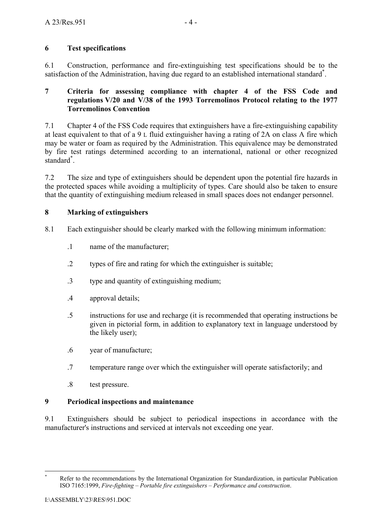## **6 Test specifications**

6.1 Construction, performance and fire-extinguishing test specifications should be to the satisfaction of the Administration, having due regard to an established international standard<sup>\*</sup>.

### **7 Criteria for assessing compliance with chapter 4 of the FSS Code and regulations V/20 and V/38 of the 1993 Torremolinos Protocol relating to the 1977 Torremolinos Convention**

7.1 Chapter 4 of the FSS Code requires that extinguishers have a fire-extinguishing capability at least equivalent to that of a 9 L fluid extinguisher having a rating of 2A on class A fire which may be water or foam as required by the Administration. This equivalence may be demonstrated by fire test ratings determined according to an international, national or other recognized standard\* .

7.2 The size and type of extinguishers should be dependent upon the potential fire hazards in the protected spaces while avoiding a multiplicity of types. Care should also be taken to ensure that the quantity of extinguishing medium released in small spaces does not endanger personnel.

## **8 Marking of extinguishers**

8.1 Each extinguisher should be clearly marked with the following minimum information:

- .1 name of the manufacturer;
- .2 types of fire and rating for which the extinguisher is suitable;
- .3 type and quantity of extinguishing medium;
- .4 approval details;
- .5 instructions for use and recharge (it is recommended that operating instructions be given in pictorial form, in addition to explanatory text in language understood by the likely user);
- .6 year of manufacture;
- .7 temperature range over which the extinguisher will operate satisfactorily; and
- .8 test pressure.

### **9 Periodical inspections and maintenance**

9.1 Extinguishers should be subject to periodical inspections in accordance with the manufacturer's instructions and serviced at intervals not exceeding one year.

 $\overline{a}$ \* Refer to the recommendations by the International Organization for Standardization, in particular Publication ISO 7165:1999, *Fire-fighting – Portable fire extinguishers – Performance and construction*.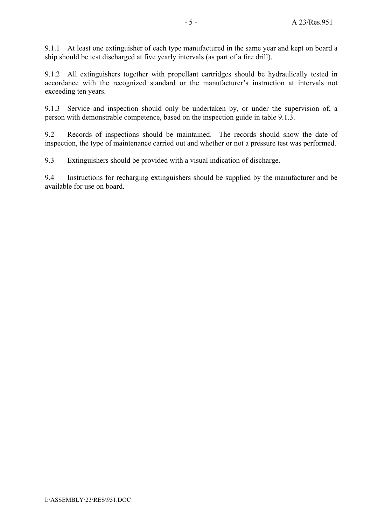9.1.1 At least one extinguisher of each type manufactured in the same year and kept on board a ship should be test discharged at five yearly intervals (as part of a fire drill).

9.1.2 All extinguishers together with propellant cartridges should be hydraulically tested in accordance with the recognized standard or the manufacturer's instruction at intervals not exceeding ten years.

9.1.3 Service and inspection should only be undertaken by, or under the supervision of, a person with demonstrable competence, based on the inspection guide in table 9.1.3.

9.2 Records of inspections should be maintained. The records should show the date of inspection, the type of maintenance carried out and whether or not a pressure test was performed.

9.3 Extinguishers should be provided with a visual indication of discharge.

9.4 Instructions for recharging extinguishers should be supplied by the manufacturer and be available for use on board.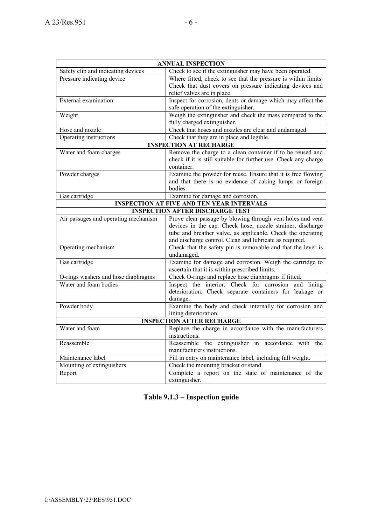| <b>ANNUAL INSPECTION</b>                           |                                                                                                                         |  |  |  |
|----------------------------------------------------|-------------------------------------------------------------------------------------------------------------------------|--|--|--|
| Safety clip and indicating devices                 | Check to see if the extinguisher may have been operated.                                                                |  |  |  |
| Pressure indicating device                         | Where fitted, check to see that the pressure is within limits.                                                          |  |  |  |
|                                                    | Check that dust covers on pressure indicating devices and                                                               |  |  |  |
|                                                    | relief valves are in place.                                                                                             |  |  |  |
| External examination                               | Inspect for corrosion, dents or damage which may affect the                                                             |  |  |  |
|                                                    | safe operation of the extinguisher.                                                                                     |  |  |  |
| Weight                                             | Weigh the extinguisher and check the mass compared to the                                                               |  |  |  |
|                                                    | fully charged extinguisher.                                                                                             |  |  |  |
| Hose and nozzle                                    | Check that hoses and nozzles are clear and undamaged.                                                                   |  |  |  |
| Operating instructions                             | Check that they are in place and legible.                                                                               |  |  |  |
|                                                    | <b>INSPECTION AT RECHARGE</b>                                                                                           |  |  |  |
| Water and foam charges                             | Remove the charge to a clean container if to be reused and                                                              |  |  |  |
|                                                    | check if it is still suitable for further use. Check any charge                                                         |  |  |  |
|                                                    | container.                                                                                                              |  |  |  |
| Powder charges                                     | Examine the powder for reuse. Ensure that it is free flowing                                                            |  |  |  |
|                                                    | and that there is no evidence of caking lumps or foreign                                                                |  |  |  |
|                                                    | bodies.                                                                                                                 |  |  |  |
| Examine for damage and corrosion.<br>Gas cartridge |                                                                                                                         |  |  |  |
|                                                    | <b>INSPECTION AT FIVE AND TEN YEAR INTERVALS</b>                                                                        |  |  |  |
|                                                    | <b>INSPECTION AFTER DISCHARGE TEST</b>                                                                                  |  |  |  |
| Air passages and operating mechanism               | Prove clear passage by blowing through vent holes and vent                                                              |  |  |  |
|                                                    | devices in the cap. Check hose, nozzle strainer, discharge                                                              |  |  |  |
|                                                    | tube and breather valve, as applicable. Check the operating                                                             |  |  |  |
| Operating mechanism                                | and discharge control. Clean and lubricate as required.<br>Check that the safety pin is removable and that the lever is |  |  |  |
|                                                    | undamaged.                                                                                                              |  |  |  |
| Gas cartridge                                      | Examine for damage and corrosion. Weigh the cartridge to                                                                |  |  |  |
|                                                    | ascertain that it is within prescribed limits.                                                                          |  |  |  |
| O-rings washers and hose diaphragms                | Check O-rings and replace hose diaphragms if fitted.                                                                    |  |  |  |
| Water and foam bodies                              | Inspect the interior. Check for corrosion and lining                                                                    |  |  |  |
|                                                    | deterioration. Check separate containers for leakage or                                                                 |  |  |  |
|                                                    | damage.                                                                                                                 |  |  |  |
| Powder body                                        | Examine the body and check internally for corrosion and                                                                 |  |  |  |
|                                                    | lining deterioration.                                                                                                   |  |  |  |
|                                                    | <b>INSPECTION AFTER RECHARGE</b>                                                                                        |  |  |  |
| Water and foam                                     | Replace the charge in accordance with the manufacturers                                                                 |  |  |  |
|                                                    | instructions.                                                                                                           |  |  |  |
| Reassemble                                         | Reassemble the extinguisher in accordance with the                                                                      |  |  |  |
|                                                    | manufacturers instructions.                                                                                             |  |  |  |
| Maintenance label                                  | Fill in entry on maintenance label, including full weight.                                                              |  |  |  |
| Mounting of extinguishers                          | Check the mounting bracket or stand.                                                                                    |  |  |  |
| Report                                             | Complete a report on the state of maintenance of the                                                                    |  |  |  |
|                                                    | extinguisher.                                                                                                           |  |  |  |

# Table 9.1.3 – Inspection guide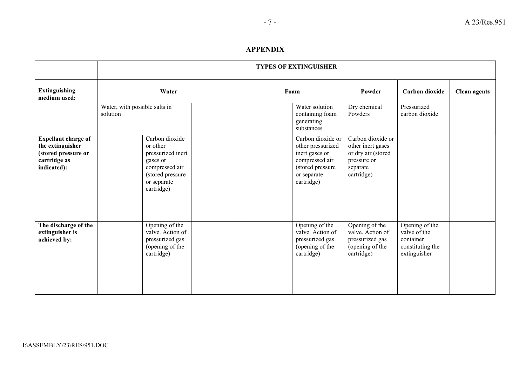#### **APPENDIX**

|                                                                                                      | <b>TYPES OF EXTINGUISHER</b>                                                                                                   |  |                                                                       |                                                                                                                             |                                                                                                       |                                                                                 |                     |  |
|------------------------------------------------------------------------------------------------------|--------------------------------------------------------------------------------------------------------------------------------|--|-----------------------------------------------------------------------|-----------------------------------------------------------------------------------------------------------------------------|-------------------------------------------------------------------------------------------------------|---------------------------------------------------------------------------------|---------------------|--|
| <b>Extinguishing</b><br>medium used:                                                                 | Water<br>Water, with possible salts in<br>solution                                                                             |  | Foam<br>Water solution<br>containing foam<br>generating<br>substances |                                                                                                                             | Powder                                                                                                | Carbon dioxide                                                                  | <b>Clean agents</b> |  |
|                                                                                                      |                                                                                                                                |  |                                                                       |                                                                                                                             | Dry chemical<br>Powders                                                                               | Pressurized<br>carbon dioxide                                                   |                     |  |
| <b>Expellant charge of</b><br>the extinguisher<br>(stored pressure or<br>cartridge as<br>indicated): | Carbon dioxide<br>or other<br>pressurized inert<br>gases or<br>compressed air<br>(stored pressure<br>or separate<br>cartridge) |  |                                                                       | Carbon dioxide or<br>other pressurized<br>inert gases or<br>compressed air<br>(stored pressure<br>or separate<br>cartridge) | Carbon dioxide or<br>other inert gases<br>or dry air (stored<br>pressure or<br>separate<br>cartridge) |                                                                                 |                     |  |
| The discharge of the<br>extinguisher is<br>achieved by:                                              | Opening of the<br>valve. Action of<br>pressurized gas<br>(opening of the<br>cartridge)                                         |  |                                                                       | Opening of the<br>valve. Action of<br>pressurized gas<br>(opening of the<br>cartridge)                                      | Opening of the<br>valve. Action of<br>pressurized gas<br>(opening of the<br>cartridge)                | Opening of the<br>valve of the<br>container<br>constituting the<br>extinguisher |                     |  |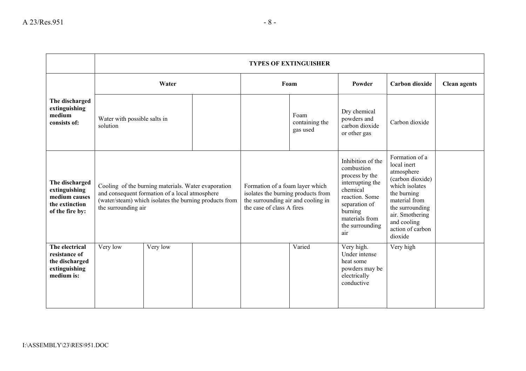|                                                                                       | <b>TYPES OF EXTINGUISHER</b>                                                                                                                                                           |          |                                                                                                                                          |  |                                                                                                                                                                             |                                                                                                                                                                                                       |                     |  |
|---------------------------------------------------------------------------------------|----------------------------------------------------------------------------------------------------------------------------------------------------------------------------------------|----------|------------------------------------------------------------------------------------------------------------------------------------------|--|-----------------------------------------------------------------------------------------------------------------------------------------------------------------------------|-------------------------------------------------------------------------------------------------------------------------------------------------------------------------------------------------------|---------------------|--|
|                                                                                       | Water                                                                                                                                                                                  |          | Foam                                                                                                                                     |  | Powder                                                                                                                                                                      | Carbon dioxide                                                                                                                                                                                        | <b>Clean agents</b> |  |
| The discharged<br>extinguishing<br>medium<br>consists of:                             | Water with possible salts in<br>solution                                                                                                                                               |          |                                                                                                                                          |  | Foam<br>containing the<br>gas used                                                                                                                                          | Dry chemical<br>powders and<br>carbon dioxide<br>or other gas                                                                                                                                         | Carbon dioxide      |  |
| The discharged<br>extinguishing<br>medium causes<br>the extinction<br>of the fire by: | Cooling of the burning materials. Water evaporation<br>and consequent formation of a local atmosphere<br>(water/steam) which isolates the burning products from<br>the surrounding air |          | Formation of a foam layer which<br>isolates the burning products from<br>the surrounding air and cooling in<br>the case of class A fires |  | Inhibition of the<br>combustion<br>process by the<br>interrupting the<br>chemical<br>reaction. Some<br>separation of<br>burning<br>materials from<br>the surrounding<br>air | Formation of a<br>local inert<br>atmosphere<br>(carbon dioxide)<br>which isolates<br>the burning<br>material from<br>the surrounding<br>air. Smothering<br>and cooling<br>action of carbon<br>dioxide |                     |  |
| The electrical<br>resistance of<br>the discharged<br>extinguishing<br>medium is:      | Very low                                                                                                                                                                               | Very low |                                                                                                                                          |  | Varied                                                                                                                                                                      | Very high.<br>Under intense<br>heat some<br>powders may be<br>electrically<br>conductive                                                                                                              | Very high           |  |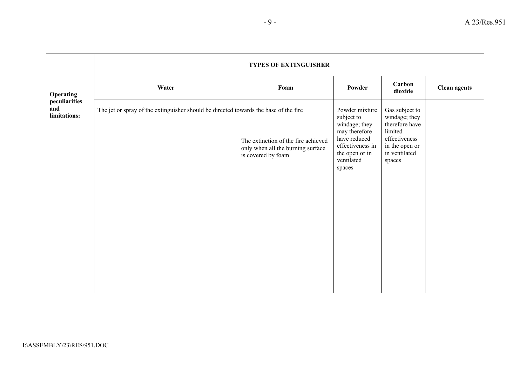|                                      | <b>TYPES OF EXTINGUISHER</b>                                                         |                                                                                                |                                                                                             |                                                                       |                     |  |
|--------------------------------------|--------------------------------------------------------------------------------------|------------------------------------------------------------------------------------------------|---------------------------------------------------------------------------------------------|-----------------------------------------------------------------------|---------------------|--|
| <b>Operating</b>                     | Water                                                                                | Foam                                                                                           | Powder                                                                                      | Carbon<br>dioxide                                                     | <b>Clean agents</b> |  |
| peculiarities<br>and<br>limitations: | The jet or spray of the extinguisher should be directed towards the base of the fire | Powder mixture<br>subject to<br>windage; they                                                  | Gas subject to<br>windage; they<br>therefore have                                           |                                                                       |                     |  |
|                                      |                                                                                      | The extinction of the fire achieved<br>only when all the burning surface<br>is covered by foam | may therefore<br>have reduced<br>effectiveness in<br>the open or in<br>ventilated<br>spaces | limited<br>effectiveness<br>in the open or<br>in ventilated<br>spaces |                     |  |
|                                      |                                                                                      |                                                                                                |                                                                                             |                                                                       |                     |  |